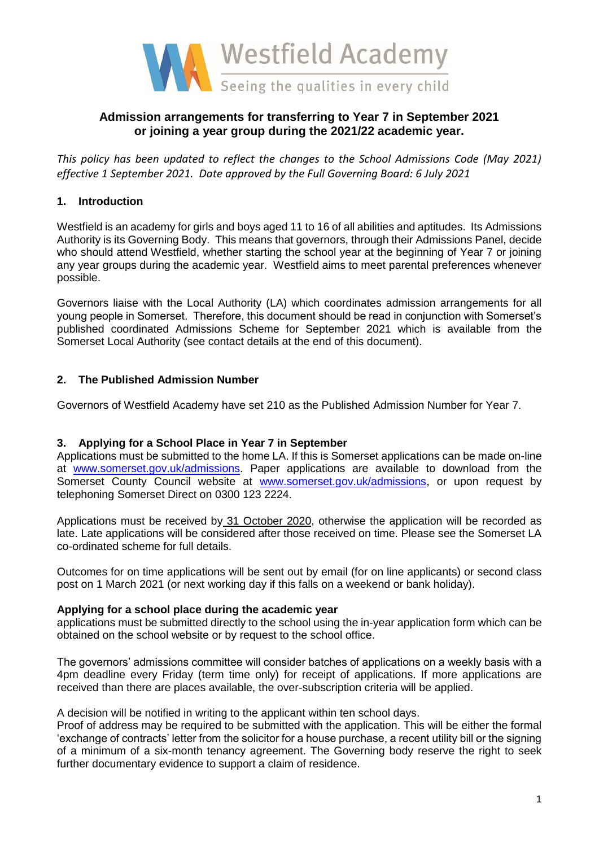

# **Admission arrangements for transferring to Year 7 in September 2021 or joining a year group during the 2021/22 academic year.**

*This policy has been updated to reflect the changes to the School Admissions Code (May 2021) effective 1 September 2021. Date approved by the Full Governing Board: 6 July 2021*

## **1. Introduction**

Westfield is an academy for girls and boys aged 11 to 16 of all abilities and aptitudes. Its Admissions Authority is its Governing Body. This means that governors, through their Admissions Panel, decide who should attend Westfield, whether starting the school year at the beginning of Year 7 or joining any year groups during the academic year. Westfield aims to meet parental preferences whenever possible.

Governors liaise with the Local Authority (LA) which coordinates admission arrangements for all young people in Somerset. Therefore, this document should be read in conjunction with Somerset's published coordinated Admissions Scheme for September 2021 which is available from the Somerset Local Authority (see contact details at the end of this document).

### **2. The Published Admission Number**

Governors of Westfield Academy have set 210 as the Published Admission Number for Year 7.

### **3. Applying for a School Place in Year 7 in September**

Applications must be submitted to the home LA. If this is Somerset applications can be made on-line at [www.somerset.gov.uk/admissions.](http://www.somerset.gov.uk/admissions) Paper applications are available to download from the Somerset County Council website at [www.somerset.gov.uk/admissions,](http://www.somerset.gov.uk/admissions) or upon request by telephoning Somerset Direct on 0300 123 2224.

Applications must be received by 31 October 2020, otherwise the application will be recorded as late. Late applications will be considered after those received on time. Please see the Somerset LA co-ordinated scheme for full details.

Outcomes for on time applications will be sent out by email (for on line applicants) or second class post on 1 March 2021 (or next working day if this falls on a weekend or bank holiday).

### **Applying for a school place during the academic year**

applications must be submitted directly to the school using the in-year application form which can be obtained on the school website or by request to the school office.

The governors' admissions committee will consider batches of applications on a weekly basis with a 4pm deadline every Friday (term time only) for receipt of applications. If more applications are received than there are places available, the over-subscription criteria will be applied.

### A decision will be notified in writing to the applicant within ten school days.

Proof of address may be required to be submitted with the application. This will be either the formal 'exchange of contracts' letter from the solicitor for a house purchase, a recent utility bill or the signing of a minimum of a six-month tenancy agreement. The Governing body reserve the right to seek further documentary evidence to support a claim of residence.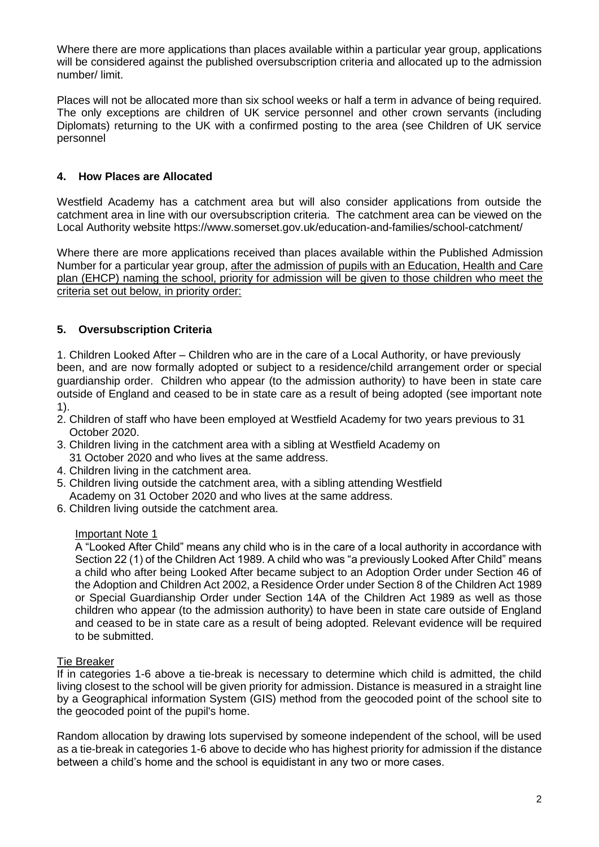Where there are more applications than places available within a particular year group, applications will be considered against the published oversubscription criteria and allocated up to the admission number/ limit.

Places will not be allocated more than six school weeks or half a term in advance of being required. The only exceptions are children of UK service personnel and other crown servants (including Diplomats) returning to the UK with a confirmed posting to the area (see Children of UK service personnel

## **4. How Places are Allocated**

Westfield Academy has a catchment area but will also consider applications from outside the catchment area in line with our oversubscription criteria. The catchment area can be viewed on the Local Authority website https://www.somerset.gov.uk/education-and-families/school-catchment/

Where there are more applications received than places available within the Published Admission Number for a particular year group, after the admission of pupils with an Education, Health and Care plan (EHCP) naming the school, priority for admission will be given to those children who meet the criteria set out below, in priority order:

## **5. Oversubscription Criteria**

1. Children Looked After – Children who are in the care of a Local Authority, or have previously been, and are now formally adopted or subject to a residence/child arrangement order or special guardianship order. Children who appear (to the admission authority) to have been in state care outside of England and ceased to be in state care as a result of being adopted (see important note 1).

- 2. Children of staff who have been employed at Westfield Academy for two years previous to 31 October 2020.
- 3. Children living in the catchment area with a sibling at Westfield Academy on 31 October 2020 and who lives at the same address.
- 4. Children living in the catchment area.
- 5. Children living outside the catchment area, with a sibling attending Westfield Academy on 31 October 2020 and who lives at the same address.
- 6. Children living outside the catchment area.

### Important Note 1

A "Looked After Child" means any child who is in the care of a local authority in accordance with Section 22 (1) of the Children Act 1989. A child who was "a previously Looked After Child" means a child who after being Looked After became subject to an Adoption Order under Section 46 of the Adoption and Children Act 2002, a Residence Order under Section 8 of the Children Act 1989 or Special Guardianship Order under Section 14A of the Children Act 1989 as well as those children who appear (to the admission authority) to have been in state care outside of England and ceased to be in state care as a result of being adopted. Relevant evidence will be required to be submitted.

### Tie Breaker

If in categories 1-6 above a tie-break is necessary to determine which child is admitted, the child living closest to the school will be given priority for admission. Distance is measured in a straight line by a Geographical information System (GIS) method from the geocoded point of the school site to the geocoded point of the pupil's home.

Random allocation by drawing lots supervised by someone independent of the school, will be used as a tie-break in categories 1-6 above to decide who has highest priority for admission if the distance between a child's home and the school is equidistant in any two or more cases.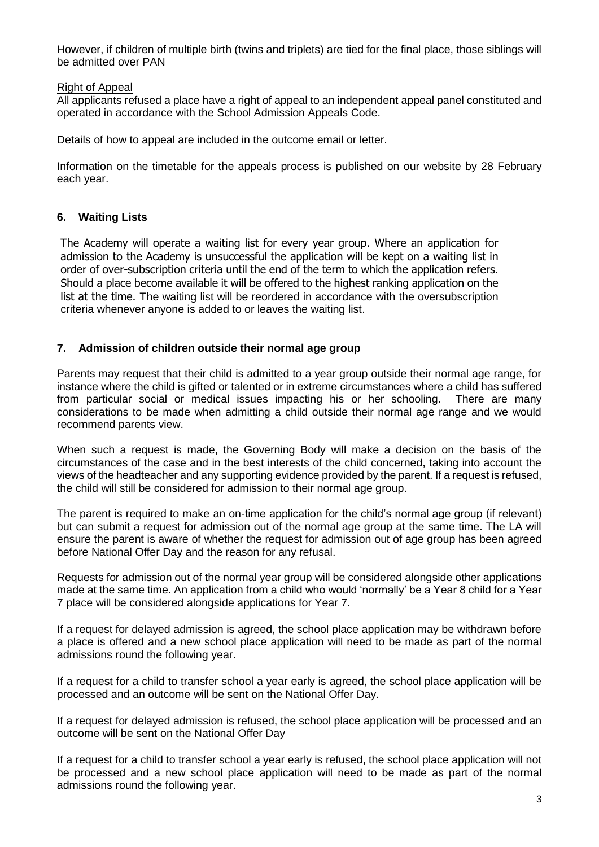However, if children of multiple birth (twins and triplets) are tied for the final place, those siblings will be admitted over PAN

### Right of Appeal

All applicants refused a place have a right of appeal to an independent appeal panel constituted and operated in accordance with the School Admission Appeals Code.

Details of how to appeal are included in the outcome email or letter.

Information on the timetable for the appeals process is published on our website by 28 February each year.

## **6. Waiting Lists**

The Academy will operate a waiting list for every year group. Where an application for admission to the Academy is unsuccessful the application will be kept on a waiting list in order of over-subscription criteria until the end of the term to which the application refers. Should a place become available it will be offered to the highest ranking application on the list at the time. The waiting list will be reordered in accordance with the oversubscription criteria whenever anyone is added to or leaves the waiting list.

### **7. Admission of children outside their normal age group**

Parents may request that their child is admitted to a year group outside their normal age range, for instance where the child is gifted or talented or in extreme circumstances where a child has suffered from particular social or medical issues impacting his or her schooling. There are many considerations to be made when admitting a child outside their normal age range and we would recommend parents view.

When such a request is made, the Governing Body will make a decision on the basis of the circumstances of the case and in the best interests of the child concerned, taking into account the views of the headteacher and any supporting evidence provided by the parent. If a request is refused, the child will still be considered for admission to their normal age group.

The parent is required to make an on-time application for the child's normal age group (if relevant) but can submit a request for admission out of the normal age group at the same time. The LA will ensure the parent is aware of whether the request for admission out of age group has been agreed before National Offer Day and the reason for any refusal.

Requests for admission out of the normal year group will be considered alongside other applications made at the same time. An application from a child who would 'normally' be a Year 8 child for a Year 7 place will be considered alongside applications for Year 7.

If a request for delayed admission is agreed, the school place application may be withdrawn before a place is offered and a new school place application will need to be made as part of the normal admissions round the following year.

If a request for a child to transfer school a year early is agreed, the school place application will be processed and an outcome will be sent on the National Offer Day.

If a request for delayed admission is refused, the school place application will be processed and an outcome will be sent on the National Offer Day

If a request for a child to transfer school a year early is refused, the school place application will not be processed and a new school place application will need to be made as part of the normal admissions round the following year.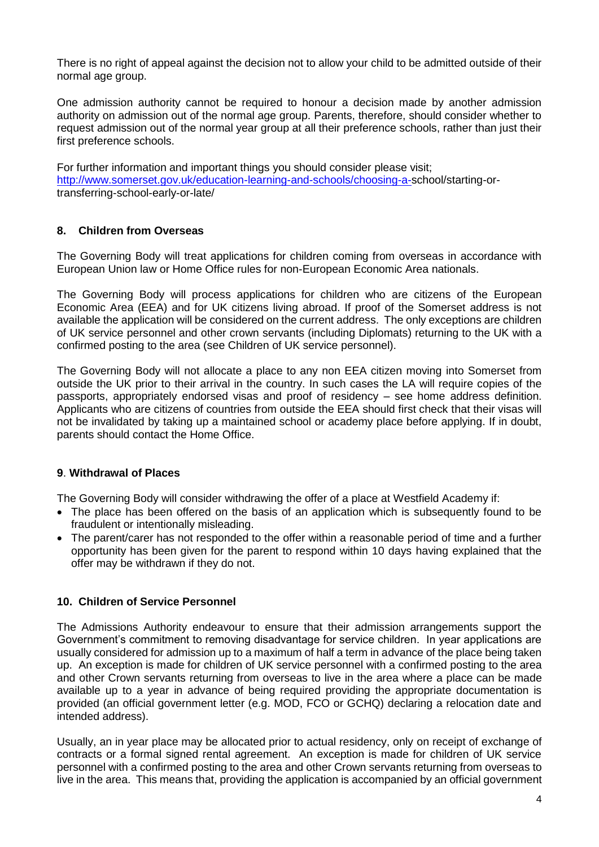There is no right of appeal against the decision not to allow your child to be admitted outside of their normal age group.

One admission authority cannot be required to honour a decision made by another admission authority on admission out of the normal age group. Parents, therefore, should consider whether to request admission out of the normal year group at all their preference schools, rather than just their first preference schools.

For further information and important things you should consider please visit; [http://www.somerset.gov.uk/education-learning-and-schools/choosing-a-s](http://www.somerset.gov.uk/education-learning-and-schools/choosing-a-)chool/starting-ortransferring-school-early-or-late/

### **8. Children from Overseas**

The Governing Body will treat applications for children coming from overseas in accordance with European Union law or Home Office rules for non-European Economic Area nationals.

The Governing Body will process applications for children who are citizens of the European Economic Area (EEA) and for UK citizens living abroad. If proof of the Somerset address is not available the application will be considered on the current address. The only exceptions are children of UK service personnel and other crown servants (including Diplomats) returning to the UK with a confirmed posting to the area (see Children of UK service personnel).

The Governing Body will not allocate a place to any non EEA citizen moving into Somerset from outside the UK prior to their arrival in the country. In such cases the LA will require copies of the passports, appropriately endorsed visas and proof of residency – see home address definition. Applicants who are citizens of countries from outside the EEA should first check that their visas will not be invalidated by taking up a maintained school or academy place before applying. If in doubt, parents should contact the Home Office.

### **9**. **Withdrawal of Places**

The Governing Body will consider withdrawing the offer of a place at Westfield Academy if:

- The place has been offered on the basis of an application which is subsequently found to be fraudulent or intentionally misleading.
- The parent/carer has not responded to the offer within a reasonable period of time and a further opportunity has been given for the parent to respond within 10 days having explained that the offer may be withdrawn if they do not.

### **10. Children of Service Personnel**

The Admissions Authority endeavour to ensure that their admission arrangements support the Government's commitment to removing disadvantage for service children. In year applications are usually considered for admission up to a maximum of half a term in advance of the place being taken up. An exception is made for children of UK service personnel with a confirmed posting to the area and other Crown servants returning from overseas to live in the area where a place can be made available up to a year in advance of being required providing the appropriate documentation is provided (an official government letter (e.g. MOD, FCO or GCHQ) declaring a relocation date and intended address).

Usually, an in year place may be allocated prior to actual residency, only on receipt of exchange of contracts or a formal signed rental agreement. An exception is made for children of UK service personnel with a confirmed posting to the area and other Crown servants returning from overseas to live in the area. This means that, providing the application is accompanied by an official government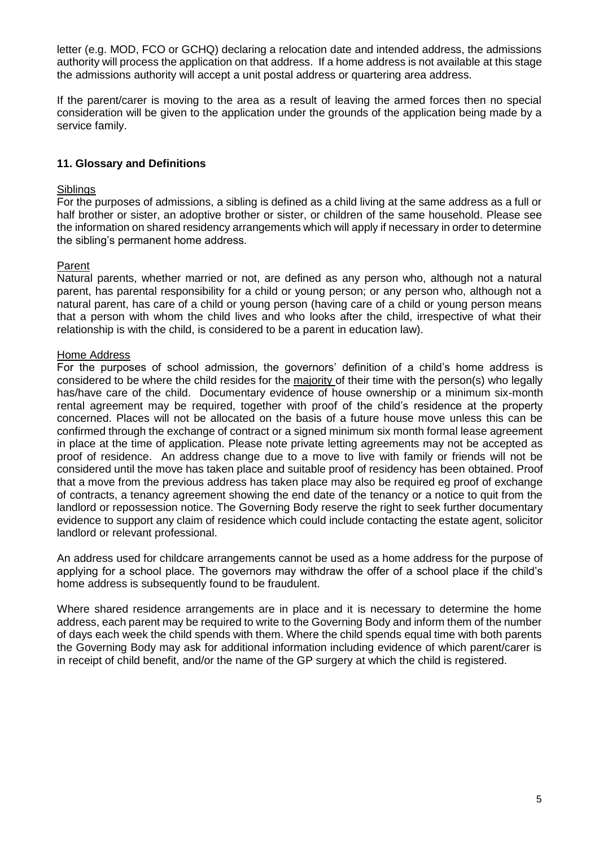letter (e.g. MOD, FCO or GCHQ) declaring a relocation date and intended address, the admissions authority will process the application on that address. If a home address is not available at this stage the admissions authority will accept a unit postal address or quartering area address.

If the parent/carer is moving to the area as a result of leaving the armed forces then no special consideration will be given to the application under the grounds of the application being made by a service family.

### **11. Glossary and Definitions**

#### **Siblings**

For the purposes of admissions, a sibling is defined as a child living at the same address as a full or half brother or sister, an adoptive brother or sister, or children of the same household. Please see the information on shared residency arrangements which will apply if necessary in order to determine the sibling's permanent home address.

### Parent

Natural parents, whether married or not, are defined as any person who, although not a natural parent, has parental responsibility for a child or young person; or any person who, although not a natural parent, has care of a child or young person (having care of a child or young person means that a person with whom the child lives and who looks after the child, irrespective of what their relationship is with the child, is considered to be a parent in education law).

#### Home Address

For the purposes of school admission, the governors' definition of a child's home address is considered to be where the child resides for the majority of their time with the person(s) who legally has/have care of the child. Documentary evidence of house ownership or a minimum six-month rental agreement may be required, together with proof of the child's residence at the property concerned. Places will not be allocated on the basis of a future house move unless this can be confirmed through the exchange of contract or a signed minimum six month formal lease agreement in place at the time of application. Please note private letting agreements may not be accepted as proof of residence. An address change due to a move to live with family or friends will not be considered until the move has taken place and suitable proof of residency has been obtained. Proof that a move from the previous address has taken place may also be required eg proof of exchange of contracts, a tenancy agreement showing the end date of the tenancy or a notice to quit from the landlord or repossession notice. The Governing Body reserve the right to seek further documentary evidence to support any claim of residence which could include contacting the estate agent, solicitor landlord or relevant professional.

An address used for childcare arrangements cannot be used as a home address for the purpose of applying for a school place. The governors may withdraw the offer of a school place if the child's home address is subsequently found to be fraudulent.

Where shared residence arrangements are in place and it is necessary to determine the home address, each parent may be required to write to the Governing Body and inform them of the number of days each week the child spends with them. Where the child spends equal time with both parents the Governing Body may ask for additional information including evidence of which parent/carer is in receipt of child benefit, and/or the name of the GP surgery at which the child is registered.